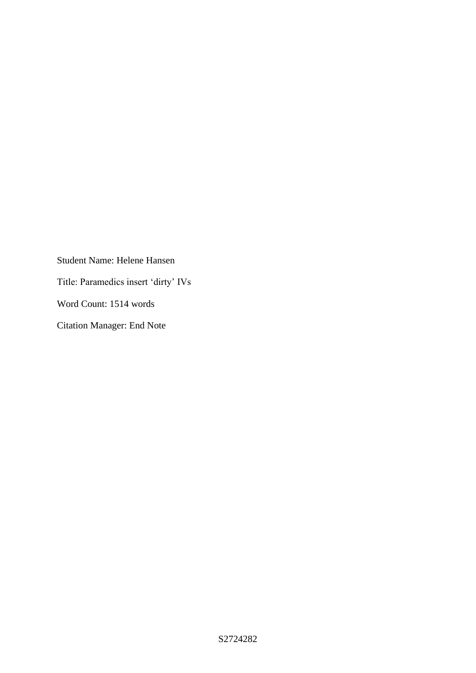Student Name: Helene Hansen Title: Paramedics insert 'dirty' IVs Word Count: 1514 words Citation Manager: End Note

S2724282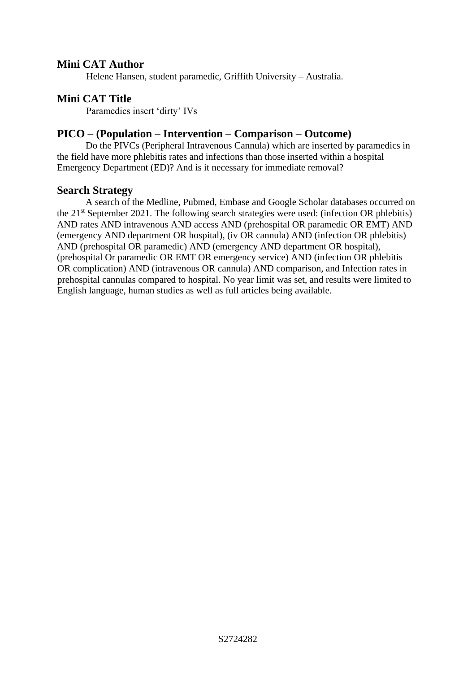## **Mini CAT Author**

Helene Hansen, student paramedic, Griffith University – Australia.

#### **Mini CAT Title**

Paramedics insert 'dirty' IVs

## **PICO – (Population – Intervention – Comparison – Outcome)**

Do the PIVCs (Peripheral Intravenous Cannula) which are inserted by paramedics in the field have more phlebitis rates and infections than those inserted within a hospital Emergency Department (ED)? And is it necessary for immediate removal?

#### **Search Strategy**

A search of the Medline, Pubmed, Embase and Google Scholar databases occurred on the  $21<sup>st</sup>$  September 2021. The following search strategies were used: (infection OR phlebitis) AND rates AND intravenous AND access AND (prehospital OR paramedic OR EMT) AND (emergency AND department OR hospital), (iv OR cannula) AND (infection OR phlebitis) AND (prehospital OR paramedic) AND (emergency AND department OR hospital), (prehospital Or paramedic OR EMT OR emergency service) AND (infection OR phlebitis OR complication) AND (intravenous OR cannula) AND comparison, and Infection rates in prehospital cannulas compared to hospital. No year limit was set, and results were limited to English language, human studies as well as full articles being available.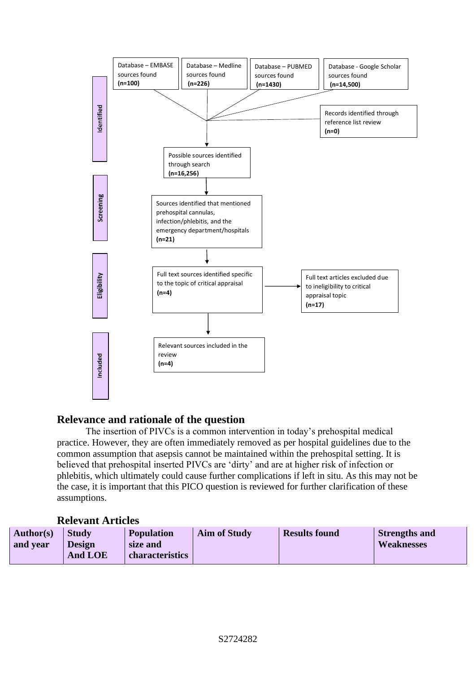

# **Relevance and rationale of the question**

The insertion of PIVCs is a common intervention in today's prehospital medical practice. However, they are often immediately removed as per hospital guidelines due to the common assumption that asepsis cannot be maintained within the prehospital setting. It is believed that prehospital inserted PIVCs are 'dirty' and are at higher risk of infection or phlebitis, which ultimately could cause further complications if left in situ. As this may not be the case, it is important that this PICO question is reviewed for further clarification of these assumptions.

## **Relevant Articles**

| Author(s) | <b>Study</b>   | <b>Population</b> | <b>Aim of Study</b> | <b>Results found</b> | <b>Strengths and</b> |
|-----------|----------------|-------------------|---------------------|----------------------|----------------------|
| and year  | <b>Design</b>  | size and          |                     |                      | <b>Weaknesses</b>    |
|           | <b>And LOE</b> | characteristics   |                     |                      |                      |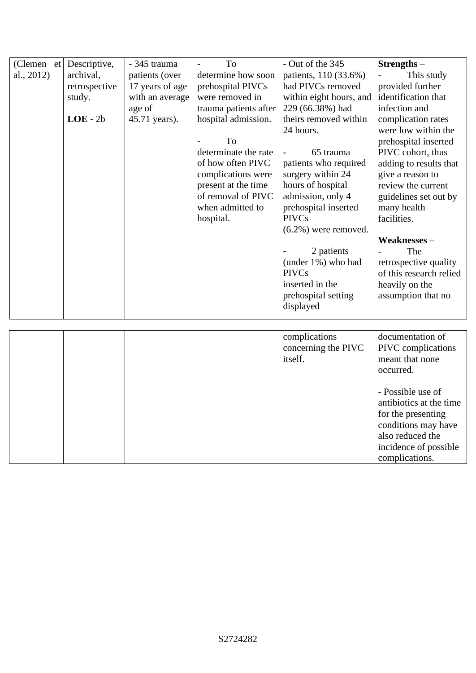| $(Clemen$ et | Descriptive,  | - 345 trauma    | To                    | - Out of the 345        | Strengths-              |
|--------------|---------------|-----------------|-----------------------|-------------------------|-------------------------|
| al., 2012)   | archival,     | patients (over  | determine how soon    | patients, 110 (33.6%)   | This study              |
|              | retrospective | 17 years of age | prehospital PIVCs     | had PIVCs removed       | provided further        |
|              | study.        | with an average | were removed in       | within eight hours, and | identification that     |
|              |               | age of          | trauma patients after | 229 (66.38%) had        | infection and           |
|              | $LOE - 2b$    | 45.71 years).   | hospital admission.   | theirs removed within   | complication rates      |
|              |               |                 |                       | 24 hours.               | were low within the     |
|              |               |                 | To                    |                         | prehospital inserted    |
|              |               |                 | determinate the rate  | 65 trauma               | PIVC cohort, thus       |
|              |               |                 | of how often PIVC     | patients who required   | adding to results that  |
|              |               |                 | complications were    | surgery within 24       | give a reason to        |
|              |               |                 | present at the time   | hours of hospital       | review the current      |
|              |               |                 | of removal of PIVC    | admission, only 4       | guidelines set out by   |
|              |               |                 | when admitted to      | prehospital inserted    | many health             |
|              |               |                 | hospital.             | <b>PIVCs</b>            | facilities.             |
|              |               |                 |                       | $(6.2\%)$ were removed. |                         |
|              |               |                 |                       |                         | Weaknesses-             |
|              |               |                 |                       | 2 patients              | The                     |
|              |               |                 |                       | (under 1%) who had      | retrospective quality   |
|              |               |                 |                       | <b>PIVCs</b>            | of this research relied |
|              |               |                 |                       | inserted in the         | heavily on the          |
|              |               |                 |                       | prehospital setting     | assumption that no      |
|              |               |                 |                       | displayed               |                         |
|              |               |                 |                       |                         |                         |
|              |               |                 |                       | complications           | documentation of        |
|              |               |                 |                       | concerning the PIVC     | PIVC complications      |
|              |               |                 |                       | itself.                 | meant that none         |
|              |               |                 |                       |                         | occurred.               |
|              |               |                 |                       |                         |                         |
|              |               |                 |                       |                         | - Possible use of       |
|              |               |                 |                       |                         | antibiotics at the time |
|              |               |                 |                       |                         | for the presenting      |
|              |               |                 |                       |                         | conditions may have     |
|              |               |                 |                       |                         | also reduced the        |
|              |               |                 |                       |                         | incidence of possible   |
|              |               |                 |                       |                         | complications.          |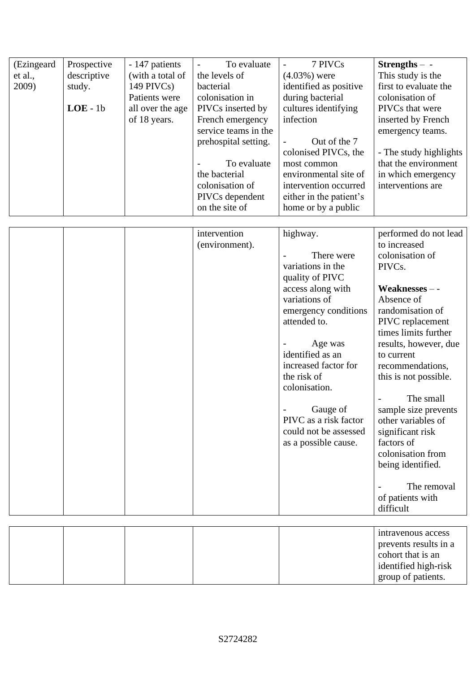| (Ezingeard<br>et al.,<br>2009) | Prospective<br>descriptive<br>study.<br>$LOE - 1b$ | - 147 patients<br>(with a total of<br>$149$ PIVCs)<br>Patients were<br>all over the age<br>of 18 years. | To evaluate<br>the levels of<br>bacterial<br>colonisation in<br>PIVCs inserted by<br>French emergency<br>service teams in the<br>prehospital setting.<br>To evaluate<br>the bacterial<br>colonisation of<br>PIVCs dependent<br>on the site of | 7 PIVCs<br>$(4.03%)$ were<br>identified as positive<br>during bacterial<br>cultures identifying<br>infection<br>Out of the 7<br>colonised PIVCs, the<br>most common<br>environmental site of<br>intervention occurred<br>either in the patient's<br>home or by a public                                                   | $Strengths - -$<br>This study is the<br>first to evaluate the<br>colonisation of<br>PIVCs that were<br>inserted by French<br>emergency teams.<br>- The study highlights<br>that the environment<br>in which emergency<br>interventions are                                                                                                                                                                                                   |
|--------------------------------|----------------------------------------------------|---------------------------------------------------------------------------------------------------------|-----------------------------------------------------------------------------------------------------------------------------------------------------------------------------------------------------------------------------------------------|---------------------------------------------------------------------------------------------------------------------------------------------------------------------------------------------------------------------------------------------------------------------------------------------------------------------------|----------------------------------------------------------------------------------------------------------------------------------------------------------------------------------------------------------------------------------------------------------------------------------------------------------------------------------------------------------------------------------------------------------------------------------------------|
|                                |                                                    |                                                                                                         | intervention<br>(environment).                                                                                                                                                                                                                | highway.<br>There were<br>variations in the<br>quality of PIVC<br>access along with<br>variations of<br>emergency conditions<br>attended to.<br>Age was<br>identified as an<br>increased factor for<br>the risk of<br>colonisation.<br>Gauge of<br>PIVC as a risk factor<br>could not be assessed<br>as a possible cause. | performed do not lead<br>to increased<br>colonisation of<br>PIVCs.<br>Weaknesses --<br>Absence of<br>randomisation of<br>PIVC replacement<br>times limits further<br>results, however, due<br>to current<br>recommendations,<br>this is not possible.<br>The small<br>sample size prevents<br>other variables of<br>significant risk<br>factors of<br>colonisation from<br>being identified.<br>The removal<br>of patients with<br>difficult |
|                                |                                                    |                                                                                                         |                                                                                                                                                                                                                                               |                                                                                                                                                                                                                                                                                                                           | intravenous access<br>prevents results in a<br>cohort that is an<br>identified high-risk<br>group of patients.                                                                                                                                                                                                                                                                                                                               |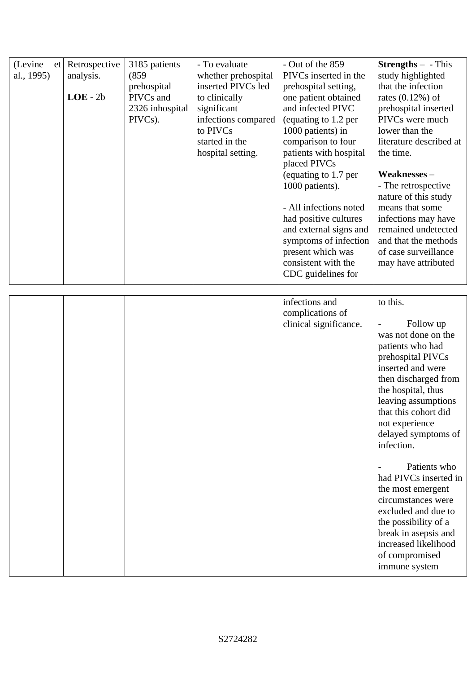| (Levine<br>et<br>al., 1995) | Retrospective<br>analysis.<br>$LOE - 2b$ | 3185 patients<br>(859)<br>prehospital<br>PIVCs and<br>2326 inhospital<br>PIVCs). | - To evaluate<br>whether prehospital<br>inserted PIVCs led<br>to clinically<br>significant<br>infections compared<br>to PIVCs<br>started in the<br>hospital setting. | - Out of the 859<br>PIVCs inserted in the<br>prehospital setting,<br>one patient obtained<br>and infected PIVC<br>(equating to 1.2 per<br>1000 patients) in<br>comparison to four<br>patients with hospital<br>placed PIVCs<br>(equating to 1.7 per<br>1000 patients).<br>- All infections noted<br>had positive cultures<br>and external signs and<br>symptoms of infection<br>present which was<br>consistent with the<br>CDC guidelines for | <b>Strengths</b> $-$ - This<br>study highlighted<br>that the infection<br>rates $(0.12\%)$ of<br>prehospital inserted<br>PIVCs were much<br>lower than the<br>literature described at<br>the time.<br>Weaknesses-<br>- The retrospective<br>nature of this study<br>means that some<br>infections may have<br>remained undetected<br>and that the methods<br>of case surveillance<br>may have attributed                                                                             |
|-----------------------------|------------------------------------------|----------------------------------------------------------------------------------|----------------------------------------------------------------------------------------------------------------------------------------------------------------------|------------------------------------------------------------------------------------------------------------------------------------------------------------------------------------------------------------------------------------------------------------------------------------------------------------------------------------------------------------------------------------------------------------------------------------------------|--------------------------------------------------------------------------------------------------------------------------------------------------------------------------------------------------------------------------------------------------------------------------------------------------------------------------------------------------------------------------------------------------------------------------------------------------------------------------------------|
|                             |                                          |                                                                                  |                                                                                                                                                                      | infections and<br>complications of<br>clinical significance.                                                                                                                                                                                                                                                                                                                                                                                   | to this.<br>Follow up<br>was not done on the<br>patients who had<br>prehospital PIVCs<br>inserted and were<br>then discharged from<br>the hospital, thus<br>leaving assumptions<br>that this cohort did<br>not experience<br>delayed symptoms of<br>infection.<br>Patients who<br>had PIVCs inserted in<br>the most emergent<br>circumstances were<br>excluded and due to<br>the possibility of a<br>break in asepsis and<br>increased likelihood<br>of compromised<br>immune system |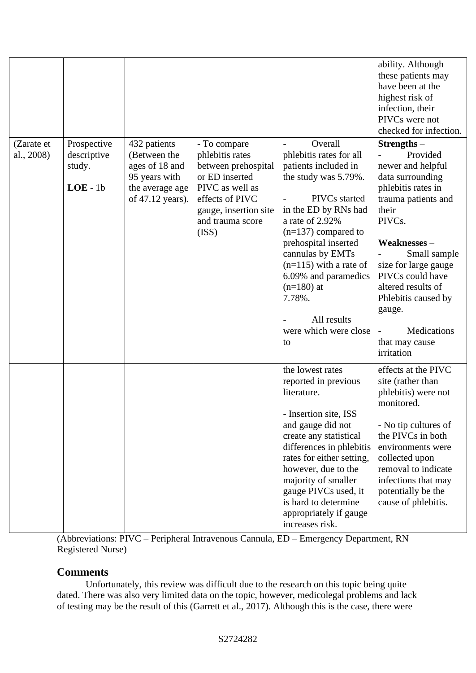|                          |                                                    |                                                                                                        |                                                                                                                                                                      |                                                                                                                                                                                                                                                                                                                                                                      | ability. Although<br>these patients may<br>have been at the<br>highest risk of<br>infection, their<br>PIVCs were not<br>checked for infection.                                                                                                                                                                      |
|--------------------------|----------------------------------------------------|--------------------------------------------------------------------------------------------------------|----------------------------------------------------------------------------------------------------------------------------------------------------------------------|----------------------------------------------------------------------------------------------------------------------------------------------------------------------------------------------------------------------------------------------------------------------------------------------------------------------------------------------------------------------|---------------------------------------------------------------------------------------------------------------------------------------------------------------------------------------------------------------------------------------------------------------------------------------------------------------------|
| (Zarate et<br>al., 2008) | Prospective<br>descriptive<br>study.<br>$LOE - 1b$ | 432 patients<br>(Between the<br>ages of 18 and<br>95 years with<br>the average age<br>of 47.12 years). | - To compare<br>phlebitis rates<br>between prehospital<br>or ED inserted<br>PIVC as well as<br>effects of PIVC<br>gauge, insertion site<br>and trauma score<br>(ISS) | Overall<br>$\qquad \qquad -$<br>phlebitis rates for all<br>patients included in<br>the study was 5.79%.<br>PIVCs started<br>in the ED by RNs had<br>a rate of 2.92%<br>$(n=137)$ compared to<br>prehospital inserted<br>cannulas by EMTs<br>$(n=115)$ with a rate of<br>6.09% and paramedics<br>$(n=180)$ at<br>7.78%.<br>All results<br>were which were close<br>to | $Strengths –$<br>Provided<br>newer and helpful<br>data surrounding<br>phlebitis rates in<br>trauma patients and<br>their<br>PIVCs.<br>Weaknesses-<br>Small sample<br>size for large gauge<br>PIVCs could have<br>altered results of<br>Phlebitis caused by<br>gauge.<br>Medications<br>that may cause<br>irritation |
|                          |                                                    |                                                                                                        |                                                                                                                                                                      | the lowest rates<br>reported in previous<br>literature.<br>Insertion site, ISS<br>and gauge did not<br>create any statistical<br>differences in phlebitis<br>rates for either setting,<br>however, due to the<br>majority of smaller<br>gauge PIVCs used, it<br>is hard to determine<br>appropriately if gauge<br>increases risk.                                    | effects at the PIVC<br>site (rather than<br>phlebitis) were not<br>monitored.<br>- No tip cultures of<br>the PIVCs in both<br>environments were<br>collected upon<br>removal to indicate<br>infections that may<br>potentially be the<br>cause of phlebitis.                                                        |

(Abbreviations: PIVC – Peripheral Intravenous Cannula, ED – Emergency Department, RN Registered Nurse)

## **Comments**

Unfortunately, this review was difficult due to the research on this topic being quite dated. There was also very limited data on the topic, however, medicolegal problems and lack of testing may be the result of this (Garrett et al., 2017). Although this is the case, there were